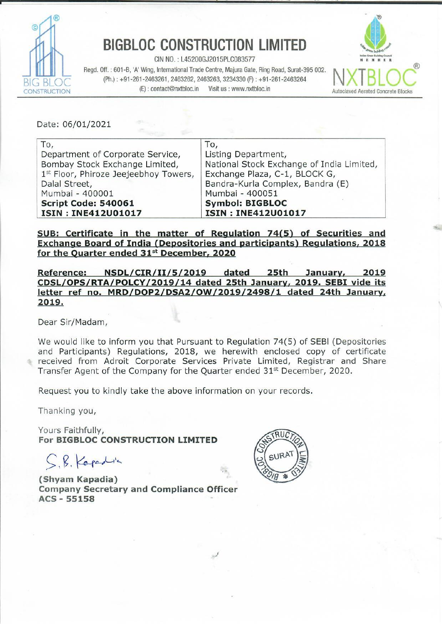

## BIGBLOC CONSTRUCTION LIMITED

CIN NO. : L45200GJ2015PLC083577 Regd. Off. : 601-B, 'A' Wing, International Trade Centre, Majura Gate, Ring Road, Surat-395 002. (Ph.) : +91-261-2463261, 2463262, 2463263, 3234330 (F) : +91-261-2463264 (E): contact@nxtbloc.in Visit us : www.nxtbloc.in BIGBLOC CONSTR<br>
Regd. Off. : 601-B, 'A' Wing, International Trade Construction<br>
(Ph.) : +91-261-2463261, 2463262, 2463<br>
(E) : contact@nxtbloc.in



<u>en antiga est en antiga est en antiga est els años de la contrada est est est est est est.</u>

| <b>BIGBLOC CONSTRUCTION LIMITED</b><br>CIN NO.: L45200GJ2015PLC083577<br>Regd. Off.: 601-B, 'A' Wing, International Trade Centre, Majura Gate, Ring Road, Surat-395 002.<br>(Ph.): +91-261-2463261, 2463262, 2463263, 3234330 (F): +91-261-2463264<br>(E): contact@nxtbloc.in<br>Visit us : www.nxtbloc.in<br><b>ISTRUCTION</b> |                                                                                                                                             |
|---------------------------------------------------------------------------------------------------------------------------------------------------------------------------------------------------------------------------------------------------------------------------------------------------------------------------------|---------------------------------------------------------------------------------------------------------------------------------------------|
| Date: 06/01/2021<br>To,<br>To,<br>Department of Corporate Service,<br>Listing Department,<br>Bombay Stock Exchange Limited,<br>National Stock Exchange of India Limited,                                                                                                                                                        |                                                                                                                                             |
| 1st Floor, Phiroze Jeejeebhoy Towers,<br>Dalal Street,<br>Mumbai - 400001<br>Script Code: 540061<br><b>ISIN: INE412U01017</b>                                                                                                                                                                                                   | Exchange Plaza, C-1, BLOCK G,<br>Bandra-Kurla Complex, Bandra (E)<br>Mumbai - 400051<br><b>Symbol: BIGBLOC</b><br><b>ISIN: INE412U01017</b> |

SUB: Certificate in the matter of Regulation 74(5) of Securities and Exchange Board of India (Depositories and participants) Regulations, 2018 for the Quarter ended 31<sup>st</sup> December, 2020

Reference: NSDL/CIR/II/5/2019 dated 25th January, 2019 CDSL/OPS/RTA/POLCY/2019/14 dated 25th January, 2019. SEBI vide its letter ref\_ no. MRD/DOP2/DSA2/OW/2019/2498/1 dated 24th January, 2019.

Dear Sir/Madam,

We would like to inform you that Pursuant to Regulation 74(5) of SEBI (Depositories and Participants) Regulations, 2018, we herewith enclosed copy of certificate received from Adroit Corporate Services Private Limited, Registrar and Share Transfer Agent of the Company for the Quarter ended 31% December, 2020.

Request you to kindly take the above information on your records.

Thanking you,

Yours Faithfully, For BIGBLOC CONSTRUCTION LIMITED

CB. Kaede

(Shyam Kapadia) Company Secretary and Compliance Officer ACS - 55158